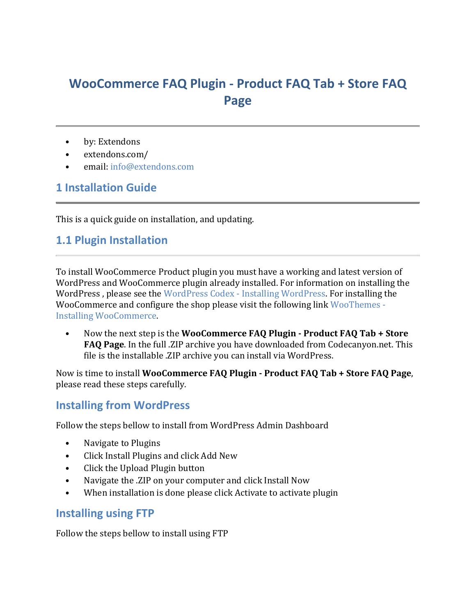# **WooCommerce FAQ Plugin - Product FAQ Tab + Store FAQ Page**

- by: Extendons
- extendons.com/
- email: [info@extendons.com](mailto:info@extendons.com)

### **1 Installation Guide**

This is a quick guide on installation, and updating.

#### **1.1 Plugin Installation**

To install WooCommerce Product plugin you must have a working and latest version of WordPress and WooCommerce plugin already installed. For information on installing the WordPress , please see the WordPress Codex - [Installing WordPress.](http://codex.wordpress.org/Installing_WordPress) For installing the WooCommerce and configure the shop please visit the following link [WooThemes -](https://docs.woothemes.com/document/installing-uninstalling-woocommerce/) [Installing WooCommerce.](https://docs.woothemes.com/document/installing-uninstalling-woocommerce/)

• Now the next step is the **WooCommerce FAQ Plugin - Product FAQ Tab + Store FAQ Page**. In the full .ZIP archive you have downloaded from Codecanyon.net. This file is the installable .ZIP archive you can install via WordPress.

Now is time to install **WooCommerce FAQ Plugin - Product FAQ Tab + Store FAQ Page**, please read these steps carefully.

#### **Installing from WordPress**

Follow the steps bellow to install from WordPress Admin Dashboard

- Navigate to Plugins
- Click Install Plugins and click Add New
- Click the Upload Plugin button
- Navigate the .ZIP on your computer and click Install Now
- When installation is done please click Activate to activate plugin

#### **Installing using FTP**

Follow the steps bellow to install using FTP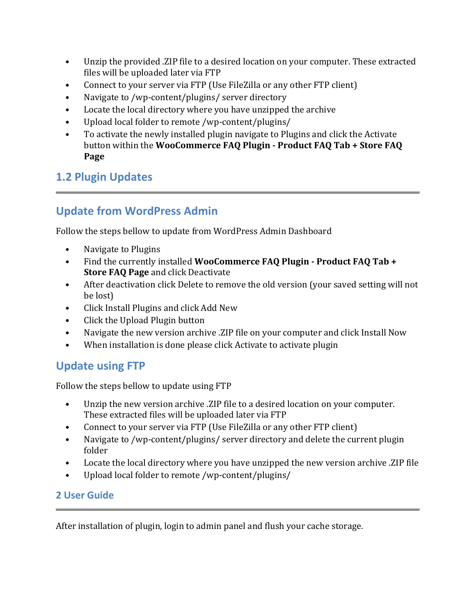- Unzip the provided .ZIP file to a desired location on your computer. These extracted files will be uploaded later via FTP
- Connect to your server via FTP (Use FileZilla or any other FTP client)
- Navigate to /wp-content/plugins/ server directory
- Locate the local directory where you have unzipped the archive
- Upload local folder to remote /wp-content/plugins/
- To activate the newly installed plugin navigate to Plugins and click the Activate button within the **WooCommerce FAQ Plugin - Product FAQ Tab + Store FAQ Page**

## **1.2 Plugin Updates**

## **Update from WordPress Admin**

Follow the steps bellow to update from WordPress Admin Dashboard

- Navigate to Plugins
- Find the currently installed **WooCommerce FAQ Plugin - Product FAQ Tab + Store FAQ Page** and click Deactivate
- After deactivation click Delete to remove the old version (your saved setting will not be lost)
- Click Install Plugins and click Add New
- Click the Upload Plugin button
- Navigate the new version archive .ZIP file on your computer and click Install Now
- When installation is done please click Activate to activate plugin

### **Update using FTP**

Follow the steps bellow to update using FTP

- Unzip the new version archive .ZIP file to a desired location on your computer. These extracted files will be uploaded later via FTP
- Connect to your server via FTP (Use FileZilla or any other FTP client)
- Navigate to /wp-content/plugins/ server directory and delete the current plugin folder
- Locate the local directory where you have unzipped the new version archive .ZIP file
- Upload local folder to remote /wp-content/plugins/

### **2 User Guide**

After installation of plugin, login to admin panel and flush your cache storage.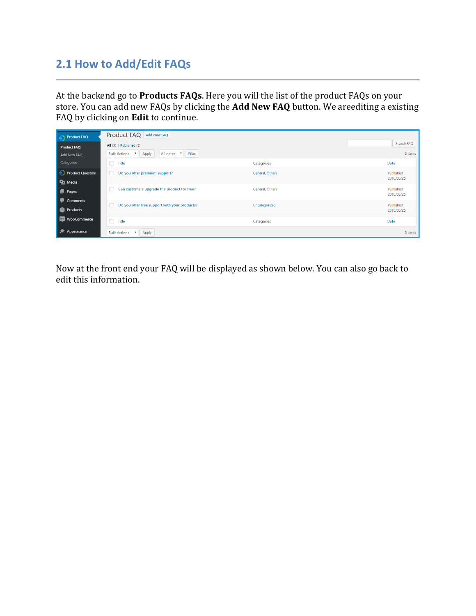## **2.1 How to Add/Edit FAQs**

At the backend go to **Products FAQs**. Here you will the list of the product FAQs on your store. You can add new FAQs by clicking the **Add New FAQ** button. We areediting a existing FAQ by clicking on **Edit** to continue.

| <b>Product FAQ</b>          | Product FAQ Add New FAQ                                        |                 |                         |
|-----------------------------|----------------------------------------------------------------|-----------------|-------------------------|
| <b>Product FAQ</b>          | All $(3)$   Published $(3)$                                    |                 | Search FAQ              |
| Add New FAQ                 | Filter<br>Apply<br>All dates <b>v</b><br>Bulk Actions <b>v</b> |                 | 3 items                 |
| Categories                  | Title                                                          | Categories      | Date                    |
| <b>Product Question</b>     | Do you offer premium support?                                  | General, Others | Published               |
| <b>P</b> <sub>1</sub> Media |                                                                |                 | 2018/06/25              |
| $\blacksquare$ Pages        | Can customers upgrade the product for free?                    | General, Others | Published<br>2018/06/25 |
| Comments                    | Do you offer free support with your products?                  | Uncategorized   | Published               |
| <b>Products</b>             |                                                                |                 | 2018/06/25              |
| WooCommerce<br>WOO          | $\Box$ Title                                                   | Categories      | Date                    |
| Appearance                  | Bulk Actions <b>v</b><br>Apply                                 |                 | 3 items                 |

Now at the front end your FAQ will be displayed as shown below. You can also go back to edit this information.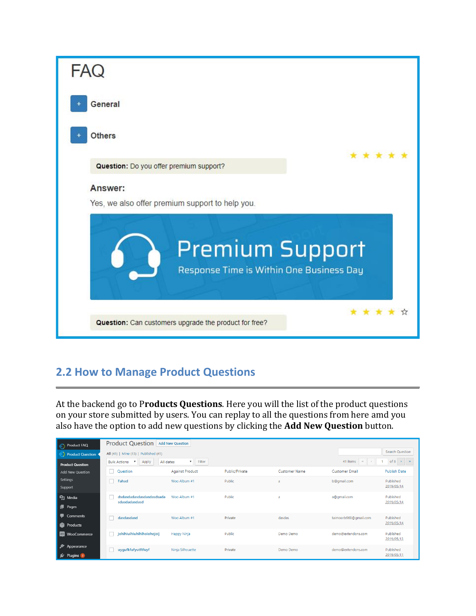

## **2.2 How to Manage Product Questions**

At the backend go to P**roducts Questions**. Here you will the list of the product questions on your store submitted by users. You can replay to all the questions from here amd you also have the option to add new questions by clicking the **Add New Question** button.

| Product FAQ                       | Product Question Add New Question                      |                                     |                |                      |                       |                         |
|-----------------------------------|--------------------------------------------------------|-------------------------------------|----------------|----------------------|-----------------------|-------------------------|
| • Product Question                | All (41)   Mine (15)   Published (41)                  |                                     |                |                      |                       | <b>Search Question</b>  |
| <b>Product Question</b>           | <b>Bulk Actions</b><br>Apply<br>$\overline{\mathbf v}$ | Filter<br>All dates<br>$\mathbf{v}$ |                |                      | 41 items<br>$\ll$     | of $3 \rightarrow$      |
| <b>Add New Question</b>           | Question<br>n.                                         | <b>Against Product</b>              | Public/Private | <b>Customer Name</b> | <b>Customer Email</b> | <b>Publish Date</b>     |
| Settings<br>Support               | Fahad                                                  | Woo Album #1                        | Public         | a                    | b@qmail.com           | Published<br>2019/05/14 |
| <b>P</b> J Media<br>Pages         | dsdasdadasdasdasdasdsada<br>sdasdadasdasd              | Woo Album #1                        | Public         | a                    | a@gmail.com           | Published<br>2019/05/14 |
| <b>Comments</b><br>P.<br>Products | dasdasdasd                                             | Woo Album #1                        | Private        | dasdas               | taimoorb968@qmail.com | Published<br>2019/05/14 |
| WooCommerce<br>WOD <sub>1</sub>   | johihiuihiuhihihoiohojoij                              | Happy Ninja                         | Public         | Demo Demo            | demo@extendons.com    | Published<br>2019/05/13 |
| Appearance<br>Plugins 2           | uygufkfufyutftfuyf                                     | Ninja Silhouette                    | Private        | Demo Demo            | demo@extendons.com    | Published<br>2019/05/11 |